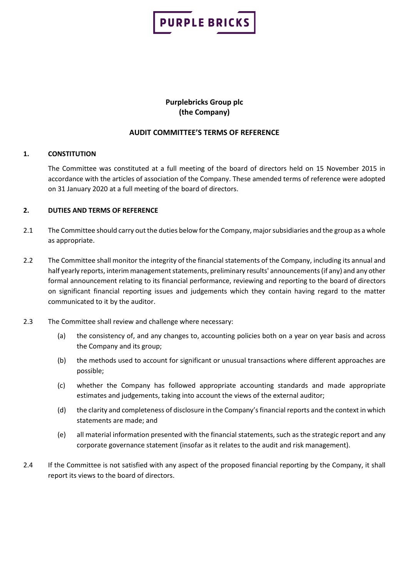

### **Purplebricks Group plc (the Company)**

#### **AUDIT COMMITTEE'S TERMS OF REFERENCE**

#### **1. CONSTITUTION**

The Committee was constituted at a full meeting of the board of directors held on 15 November 2015 in accordance with the articles of association of the Company. These amended terms of reference were adopted on 31 January 2020 at a full meeting of the board of directors.

#### **2. DUTIES AND TERMS OF REFERENCE**

- 2.1 The Committee should carry out the duties below for the Company, major subsidiaries and the group as a whole as appropriate.
- 2.2 The Committee shall monitor the integrity of the financial statements of the Company, including its annual and half yearly reports, interim management statements, preliminary results' announcements (if any) and any other formal announcement relating to its financial performance, reviewing and reporting to the board of directors on significant financial reporting issues and judgements which they contain having regard to the matter communicated to it by the auditor.
- 2.3 The Committee shall review and challenge where necessary:
	- (a) the consistency of, and any changes to, accounting policies both on a year on year basis and across the Company and its group;
	- (b) the methods used to account for significant or unusual transactions where different approaches are possible;
	- (c) whether the Company has followed appropriate accounting standards and made appropriate estimates and judgements, taking into account the views of the external auditor;
	- (d) the clarity and completeness of disclosure in the Company's financial reports and the context in which statements are made; and
	- (e) all material information presented with the financial statements, such as the strategic report and any corporate governance statement (insofar as it relates to the audit and risk management).
- 2.4 If the Committee is not satisfied with any aspect of the proposed financial reporting by the Company, it shall report its views to the board of directors.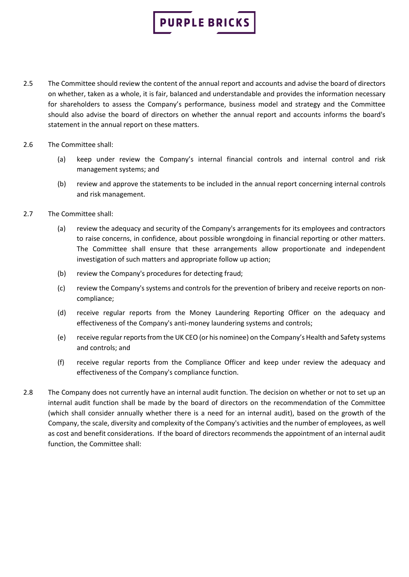- 2.5 The Committee should review the content of the annual report and accounts and advise the board of directors on whether, taken as a whole, it is fair, balanced and understandable and provides the information necessary for shareholders to assess the Company's performance, business model and strategy and the Committee should also advise the board of directors on whether the annual report and accounts informs the board's statement in the annual report on these matters.
- 2.6 The Committee shall:
	- (a) keep under review the Company's internal financial controls and internal control and risk management systems; and
	- (b) review and approve the statements to be included in the annual report concerning internal controls and risk management.
- 2.7 The Committee shall:
	- (a) review the adequacy and security of the Company's arrangements for its employees and contractors to raise concerns, in confidence, about possible wrongdoing in financial reporting or other matters. The Committee shall ensure that these arrangements allow proportionate and independent investigation of such matters and appropriate follow up action;
	- (b) review the Company's procedures for detecting fraud;
	- (c) review the Company's systems and controls for the prevention of bribery and receive reports on noncompliance;
	- (d) receive regular reports from the Money Laundering Reporting Officer on the adequacy and effectiveness of the Company's anti-money laundering systems and controls;
	- (e) receive regular reports from the UK CEO (or his nominee) on the Company's Health and Safety systems and controls; and
	- (f) receive regular reports from the Compliance Officer and keep under review the adequacy and effectiveness of the Company's compliance function.
- 2.8 The Company does not currently have an internal audit function. The decision on whether or not to set up an internal audit function shall be made by the board of directors on the recommendation of the Committee (which shall consider annually whether there is a need for an internal audit), based on the growth of the Company, the scale, diversity and complexity of the Company's activities and the number of employees, as well as cost and benefit considerations. If the board of directors recommends the appointment of an internal audit function, the Committee shall: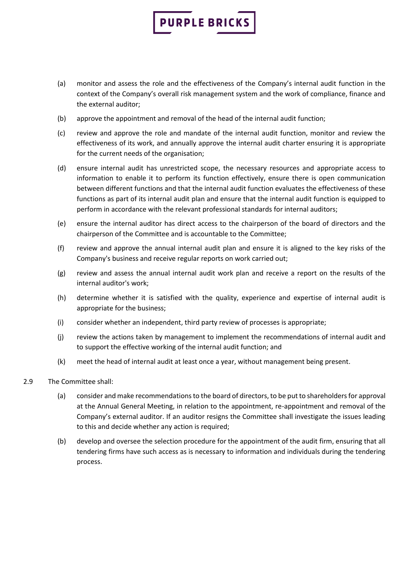- (a) monitor and assess the role and the effectiveness of the Company's internal audit function in the context of the Company's overall risk management system and the work of compliance, finance and the external auditor;
- (b) approve the appointment and removal of the head of the internal audit function;
- (c) review and approve the role and mandate of the internal audit function, monitor and review the effectiveness of its work, and annually approve the internal audit charter ensuring it is appropriate for the current needs of the organisation;
- (d) ensure internal audit has unrestricted scope, the necessary resources and appropriate access to information to enable it to perform its function effectively, ensure there is open communication between different functions and that the internal audit function evaluates the effectiveness of these functions as part of its internal audit plan and ensure that the internal audit function is equipped to perform in accordance with the relevant professional standards for internal auditors;
- (e) ensure the internal auditor has direct access to the chairperson of the board of directors and the chairperson of the Committee and is accountable to the Committee;
- (f) review and approve the annual internal audit plan and ensure it is aligned to the key risks of the Company's business and receive regular reports on work carried out;
- (g) review and assess the annual internal audit work plan and receive a report on the results of the internal auditor's work;
- (h) determine whether it is satisfied with the quality, experience and expertise of internal audit is appropriate for the business;
- (i) consider whether an independent, third party review of processes is appropriate;
- (j) review the actions taken by management to implement the recommendations of internal audit and to support the effective working of the internal audit function; and
- (k) meet the head of internal audit at least once a year, without management being present.
- 2.9 The Committee shall:
	- (a) consider and make recommendations to the board of directors, to be put to shareholders for approval at the Annual General Meeting, in relation to the appointment, re-appointment and removal of the Company's external auditor. If an auditor resigns the Committee shall investigate the issues leading to this and decide whether any action is required;
	- (b) develop and oversee the selection procedure for the appointment of the audit firm, ensuring that all tendering firms have such access as is necessary to information and individuals during the tendering process.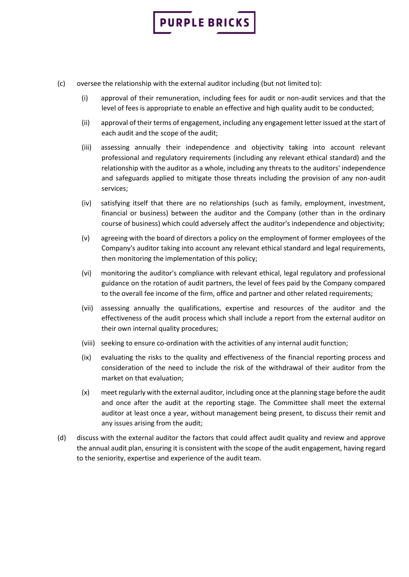

- (c) oversee the relationship with the external auditor including (but not limited to):
	- (i) approval of their remuneration, including fees for audit or non-audit services and that the level of fees is appropriate to enable an effective and high quality audit to be conducted;
	- (ii) approval of their terms of engagement, including any engagement letter issued at the start of each audit and the scope of the audit;
	- (iii) assessing annually their independence and objectivity taking into account relevant professional and regulatory requirements (including any relevant ethical standard) and the relationship with the auditor as a whole, including any threats to the auditors' independence and safeguards applied to mitigate those threats including the provision of any non-audit services;
	- (iv) satisfying itself that there are no relationships (such as family, employment, investment, financial or business) between the auditor and the Company (other than in the ordinary course of business) which could adversely affect the auditor's independence and objectivity;
	- (v) agreeing with the board of directors a policy on the employment of former employees of the Company's auditor taking into account any relevant ethical standard and legal requirements, then monitoring the implementation of this policy;
	- (vi) monitoring the auditor's compliance with relevant ethical, legal regulatory and professional guidance on the rotation of audit partners, the level of fees paid by the Company compared to the overall fee income of the firm, office and partner and other related requirements;
	- (vii) assessing annually the qualifications, expertise and resources of the auditor and the effectiveness of the audit process which shall include a report from the external auditor on their own internal quality procedures;
	- (viii) seeking to ensure co-ordination with the activities of any internal audit function;
	- (ix) evaluating the risks to the quality and effectiveness of the financial reporting process and consideration of the need to include the risk of the withdrawal of their auditor from the market on that evaluation;
	- (x) meet regularly with the external auditor, including once at the planning stage before the audit and once after the audit at the reporting stage. The Committee shall meet the external auditor at least once a year, without management being present, to discuss their remit and any issues arising from the audit;
- (d) discuss with the external auditor the factors that could affect audit quality and review and approve the annual audit plan, ensuring it is consistent with the scope of the audit engagement, having regard to the seniority, expertise and experience of the audit team.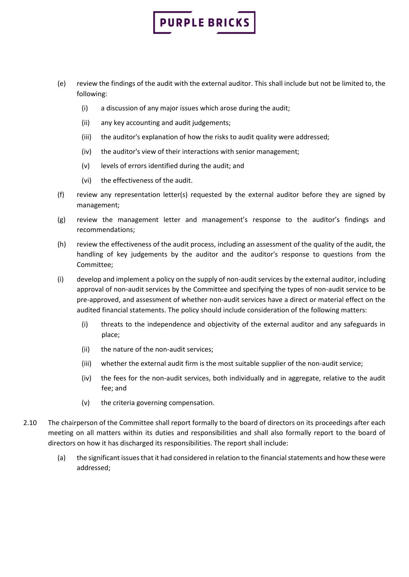- (e) review the findings of the audit with the external auditor. This shall include but not be limited to, the following:
	- (i) a discussion of any major issues which arose during the audit;
	- (ii) any key accounting and audit judgements;
	- (iii) the auditor's explanation of how the risks to audit quality were addressed;
	- (iv) the auditor's view of their interactions with senior management;
	- (v) levels of errors identified during the audit; and
	- (vi) the effectiveness of the audit.
- (f) review any representation letter(s) requested by the external auditor before they are signed by management;
- (g) review the management letter and management's response to the auditor's findings and recommendations;
- (h) review the effectiveness of the audit process, including an assessment of the quality of the audit, the handling of key judgements by the auditor and the auditor's response to questions from the Committee;
- (i) develop and implement a policy on the supply of non-audit services by the external auditor, including approval of non-audit services by the Committee and specifying the types of non-audit service to be pre-approved, and assessment of whether non-audit services have a direct or material effect on the audited financial statements. The policy should include consideration of the following matters:
	- (i) threats to the independence and objectivity of the external auditor and any safeguards in place;
	- (ii) the nature of the non-audit services;
	- (iii) whether the external audit firm is the most suitable supplier of the non-audit service;
	- (iv) the fees for the non-audit services, both individually and in aggregate, relative to the audit fee; and
	- (v) the criteria governing compensation.
- 2.10 The chairperson of the Committee shall report formally to the board of directors on its proceedings after each meeting on all matters within its duties and responsibilities and shall also formally report to the board of directors on how it has discharged its responsibilities. The report shall include:
	- (a) the significant issues that it had considered in relation to the financial statements and how these were addressed;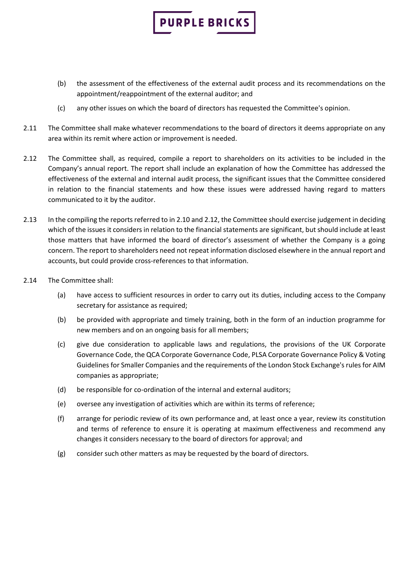

(c) any other issues on which the board of directors has requested the Committee's opinion.

- 2.11 The Committee shall make whatever recommendations to the board of directors it deems appropriate on any area within its remit where action or improvement is needed.
- 2.12 The Committee shall, as required, compile a report to shareholders on its activities to be included in the Company's annual report. The report shall include an explanation of how the Committee has addressed the effectiveness of the external and internal audit process, the significant issues that the Committee considered in relation to the financial statements and how these issues were addressed having regard to matters communicated to it by the auditor.
- 2.13 In the compiling the reports referred to in 2.10 and 2.12, the Committee should exercise judgement in deciding which of the issues it considers in relation to the financial statements are significant, but should include at least those matters that have informed the board of director's assessment of whether the Company is a going concern. The report to shareholders need not repeat information disclosed elsewhere in the annual report and accounts, but could provide cross-references to that information.
- 2.14 The Committee shall:
	- (a) have access to sufficient resources in order to carry out its duties, including access to the Company secretary for assistance as required;
	- (b) be provided with appropriate and timely training, both in the form of an induction programme for new members and on an ongoing basis for all members;
	- (c) give due consideration to applicable laws and regulations, the provisions of the UK Corporate Governance Code, the QCA Corporate Governance Code, PLSA Corporate Governance Policy & Voting Guidelines for Smaller Companies and the requirements of the London Stock Exchange's rules for AIM companies as appropriate;
	- (d) be responsible for co-ordination of the internal and external auditors;
	- (e) oversee any investigation of activities which are within its terms of reference;
	- (f) arrange for periodic review of its own performance and, at least once a year, review its constitution and terms of reference to ensure it is operating at maximum effectiveness and recommend any changes it considers necessary to the board of directors for approval; and
	- (g) consider such other matters as may be requested by the board of directors.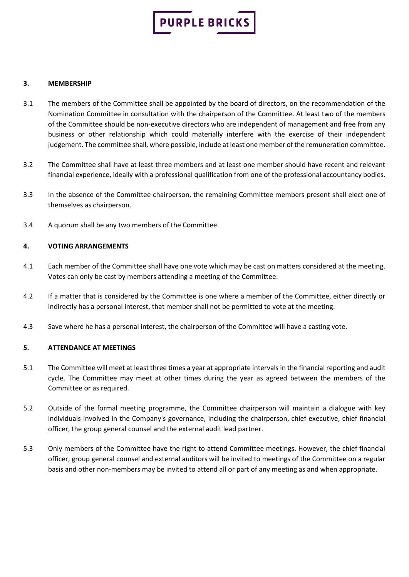

#### **3. MEMBERSHIP**

- 3.1 The members of the Committee shall be appointed by the board of directors, on the recommendation of the Nomination Committee in consultation with the chairperson of the Committee. At least two of the members of the Committee should be non-executive directors who are independent of management and free from any business or other relationship which could materially interfere with the exercise of their independent judgement. The committee shall, where possible, include at least one member of the remuneration committee.
- 3.2 The Committee shall have at least three members and at least one member should have recent and relevant financial experience, ideally with a professional qualification from one of the professional accountancy bodies.
- 3.3 In the absence of the Committee chairperson, the remaining Committee members present shall elect one of themselves as chairperson.
- 3.4 A quorum shall be any two members of the Committee.

#### **4. VOTING ARRANGEMENTS**

- 4.1 Each member of the Committee shall have one vote which may be cast on matters considered at the meeting. Votes can only be cast by members attending a meeting of the Committee.
- 4.2 If a matter that is considered by the Committee is one where a member of the Committee, either directly or indirectly has a personal interest, that member shall not be permitted to vote at the meeting.
- 4.3 Save where he has a personal interest, the chairperson of the Committee will have a casting vote.

#### **5. ATTENDANCE AT MEETINGS**

- 5.1 The Committee will meet at least three times a year at appropriate intervals in the financial reporting and audit cycle. The Committee may meet at other times during the year as agreed between the members of the Committee or as required.
- 5.2 Outside of the formal meeting programme, the Committee chairperson will maintain a dialogue with key individuals involved in the Company's governance, including the chairperson, chief executive, chief financial officer, the group general counsel and the external audit lead partner.
- 5.3 Only members of the Committee have the right to attend Committee meetings. However, the chief financial officer, group general counsel and external auditors will be invited to meetings of the Committee on a regular basis and other non-members may be invited to attend all or part of any meeting as and when appropriate.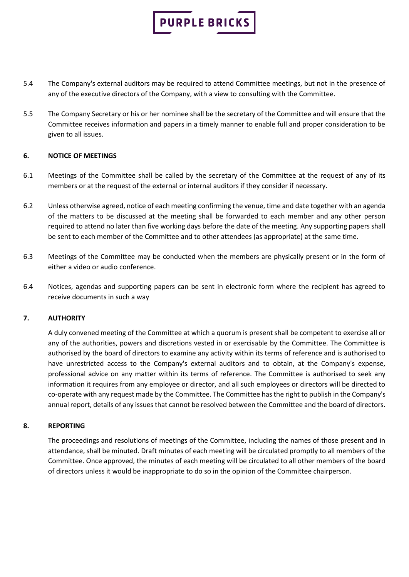

- 5.4 The Company's external auditors may be required to attend Committee meetings, but not in the presence of any of the executive directors of the Company, with a view to consulting with the Committee.
- 5.5 The Company Secretary or his or her nominee shall be the secretary of the Committee and will ensure that the Committee receives information and papers in a timely manner to enable full and proper consideration to be given to all issues.

#### **6. NOTICE OF MEETINGS**

- 6.1 Meetings of the Committee shall be called by the secretary of the Committee at the request of any of its members or at the request of the external or internal auditors if they consider if necessary.
- 6.2 Unless otherwise agreed, notice of each meeting confirming the venue, time and date together with an agenda of the matters to be discussed at the meeting shall be forwarded to each member and any other person required to attend no later than five working days before the date of the meeting. Any supporting papers shall be sent to each member of the Committee and to other attendees (as appropriate) at the same time.
- 6.3 Meetings of the Committee may be conducted when the members are physically present or in the form of either a video or audio conference.
- 6.4 Notices, agendas and supporting papers can be sent in electronic form where the recipient has agreed to receive documents in such a way

#### **7. AUTHORITY**

A duly convened meeting of the Committee at which a quorum is present shall be competent to exercise all or any of the authorities, powers and discretions vested in or exercisable by the Committee. The Committee is authorised by the board of directors to examine any activity within its terms of reference and is authorised to have unrestricted access to the Company's external auditors and to obtain, at the Company's expense, professional advice on any matter within its terms of reference. The Committee is authorised to seek any information it requires from any employee or director, and all such employees or directors will be directed to co-operate with any request made by the Committee. The Committee has the right to publish in the Company's annual report, details of any issues that cannot be resolved between the Committee and the board of directors.

#### **8. REPORTING**

The proceedings and resolutions of meetings of the Committee, including the names of those present and in attendance, shall be minuted. Draft minutes of each meeting will be circulated promptly to all members of the Committee. Once approved, the minutes of each meeting will be circulated to all other members of the board of directors unless it would be inappropriate to do so in the opinion of the Committee chairperson.